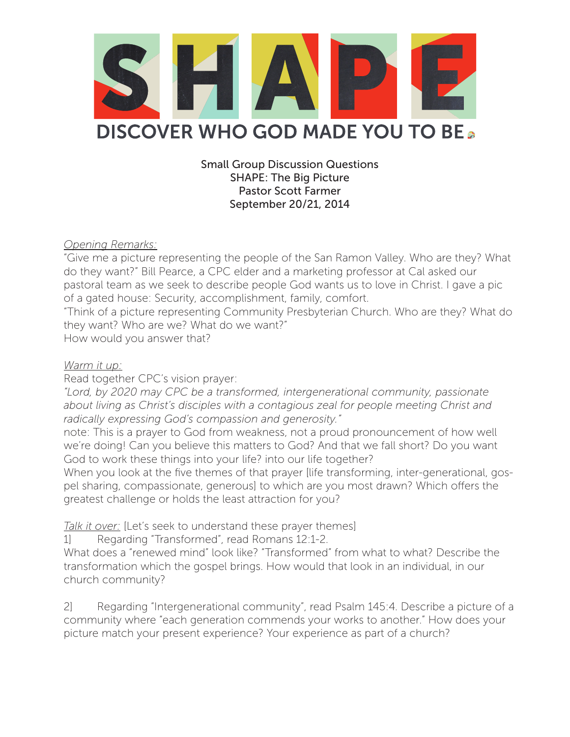

Small Group Discussion Questions SHAPE: The Big Picture Pastor Scott Farmer September 20/21, 2014

*Opening Remarks:*

"Give me a picture representing the people of the San Ramon Valley. Who are they? What do they want?" Bill Pearce, a CPC elder and a marketing professor at Cal asked our pastoral team as we seek to describe people God wants us to love in Christ. I gave a pic of a gated house: Security, accomplishment, family, comfort.

"Think of a picture representing Community Presbyterian Church. Who are they? What do they want? Who are we? What do we want?"

How would you answer that?

## *Warm it up:*

Read together CPC's vision prayer:

*"Lord, by 2020 may CPC be a transformed, intergenerational community, passionate about living as Christ's disciples with a contagious zeal for people meeting Christ and radically expressing God's compassion and generosity."*

note: This is a prayer to God from weakness, not a proud pronouncement of how well we're doing! Can you believe this matters to God? And that we fall short? Do you want God to work these things into your life? into our life together?

When you look at the five themes of that prayer [life transforming, inter-generational, gospel sharing, compassionate, generous] to which are you most drawn? Which offers the greatest challenge or holds the least attraction for you?

*Talk it over:* [Let's seek to understand these prayer themes]

1] Regarding "Transformed", read Romans 12:1-2.

What does a "renewed mind" look like? "Transformed" from what to what? Describe the transformation which the gospel brings. How would that look in an individual, in our church community?

2] Regarding "Intergenerational community", read Psalm 145:4. Describe a picture of a community where "each generation commends your works to another." How does your picture match your present experience? Your experience as part of a church?